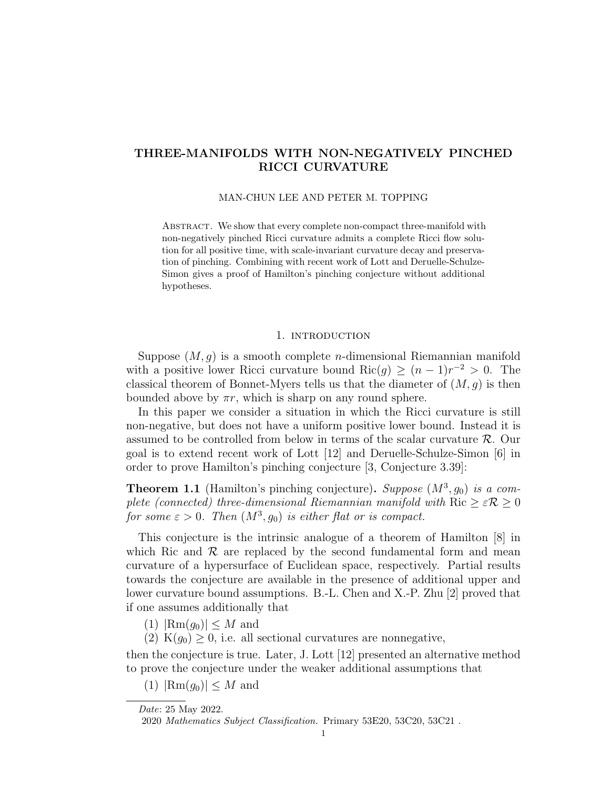# THREE-MANIFOLDS WITH NON-NEGATIVELY PINCHED RICCI CURVATURE

#### MAN-CHUN LEE AND PETER M. TOPPING

ABSTRACT. We show that every complete non-compact three-manifold with non-negatively pinched Ricci curvature admits a complete Ricci flow solution for all positive time, with scale-invariant curvature decay and preservation of pinching. Combining with recent work of Lott and Deruelle-Schulze-Simon gives a proof of Hamilton's pinching conjecture without additional hypotheses.

#### 1. introduction

Suppose  $(M, g)$  is a smooth complete *n*-dimensional Riemannian manifold with a positive lower Ricci curvature bound Ric $(g) \geq (n-1)r^{-2} > 0$ . The classical theorem of Bonnet-Myers tells us that the diameter of  $(M, q)$  is then bounded above by  $\pi r$ , which is sharp on any round sphere.

In this paper we consider a situation in which the Ricci curvature is still non-negative, but does not have a uniform positive lower bound. Instead it is assumed to be controlled from below in terms of the scalar curvature  $\mathcal{R}$ . Our goal is to extend recent work of Lott [12] and Deruelle-Schulze-Simon [6] in order to prove Hamilton's pinching conjecture [3, Conjecture 3.39]:

**Theorem 1.1** (Hamilton's pinching conjecture). Suppose  $(M^3, g_0)$  is a complete (connected) three-dimensional Riemannian manifold with Ric  $\geq \varepsilon \mathcal{R} \geq 0$ for some  $\varepsilon > 0$ . Then  $(M^3, g_0)$  is either flat or is compact.

This conjecture is the intrinsic analogue of a theorem of Hamilton [8] in which Ric and  $R$  are replaced by the second fundamental form and mean curvature of a hypersurface of Euclidean space, respectively. Partial results towards the conjecture are available in the presence of additional upper and lower curvature bound assumptions. B.-L. Chen and X.-P. Zhu [2] proved that if one assumes additionally that

- $(1)$   $|\text{Rm}(g_0)| \leq M$  and
- (2)  $K(g_0) \geq 0$ , i.e. all sectional curvatures are nonnegative,

then the conjecture is true. Later, J. Lott [12] presented an alternative method to prove the conjecture under the weaker additional assumptions that

 $(1)$   $|\text{Rm}(g_0)| \leq M$  and

Date: 25 May 2022.

<sup>2020</sup> Mathematics Subject Classification. Primary 53E20, 53C20, 53C21 .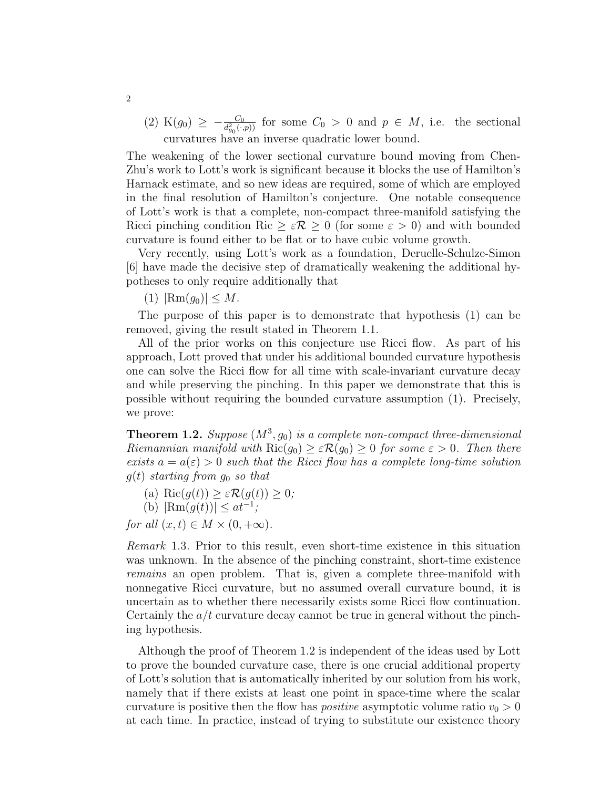(2) K( $g_0$ )  $\geq -\frac{C_0}{d_{g_0}^2(\cdot,p)}$  for some  $C_0 > 0$  and  $p \in M$ , i.e. the sectional curvatures have an inverse quadratic lower bound.

The weakening of the lower sectional curvature bound moving from Chen-Zhu's work to Lott's work is significant because it blocks the use of Hamilton's Harnack estimate, and so new ideas are required, some of which are employed in the final resolution of Hamilton's conjecture. One notable consequence of Lott's work is that a complete, non-compact three-manifold satisfying the Ricci pinching condition Ric  $\geq \varepsilon \mathcal{R} \geq 0$  (for some  $\varepsilon > 0$ ) and with bounded curvature is found either to be flat or to have cubic volume growth.

Very recently, using Lott's work as a foundation, Deruelle-Schulze-Simon [6] have made the decisive step of dramatically weakening the additional hypotheses to only require additionally that

(1)  $|\text{Rm}(q_0)| \leq M$ .

The purpose of this paper is to demonstrate that hypothesis (1) can be removed, giving the result stated in Theorem 1.1.

All of the prior works on this conjecture use Ricci flow. As part of his approach, Lott proved that under his additional bounded curvature hypothesis one can solve the Ricci flow for all time with scale-invariant curvature decay and while preserving the pinching. In this paper we demonstrate that this is possible without requiring the bounded curvature assumption (1). Precisely, we prove:

**Theorem 1.2.** Suppose  $(M^3, g_0)$  is a complete non-compact three-dimensional Riemannian manifold with  $\text{Ric}(q_0) \geq \varepsilon \mathcal{R}(q_0) \geq 0$  for some  $\varepsilon > 0$ . Then there exists  $a = a(\varepsilon) > 0$  such that the Ricci flow has a complete long-time solution  $g(t)$  starting from  $g_0$  so that

- (a) Ric $(g(t)) \geq \varepsilon \mathcal{R}(g(t)) \geq 0;$
- (b)  $|\text{Rm}(g(t))| \leq at^{-1}$ ;
- for all  $(x, t) \in M \times (0, +\infty)$ .

Remark 1.3. Prior to this result, even short-time existence in this situation was unknown. In the absence of the pinching constraint, short-time existence remains an open problem. That is, given a complete three-manifold with nonnegative Ricci curvature, but no assumed overall curvature bound, it is uncertain as to whether there necessarily exists some Ricci flow continuation. Certainly the  $a/t$  curvature decay cannot be true in general without the pinching hypothesis.

Although the proof of Theorem 1.2 is independent of the ideas used by Lott to prove the bounded curvature case, there is one crucial additional property of Lott's solution that is automatically inherited by our solution from his work, namely that if there exists at least one point in space-time where the scalar curvature is positive then the flow has *positive* asymptotic volume ratio  $v_0 > 0$ at each time. In practice, instead of trying to substitute our existence theory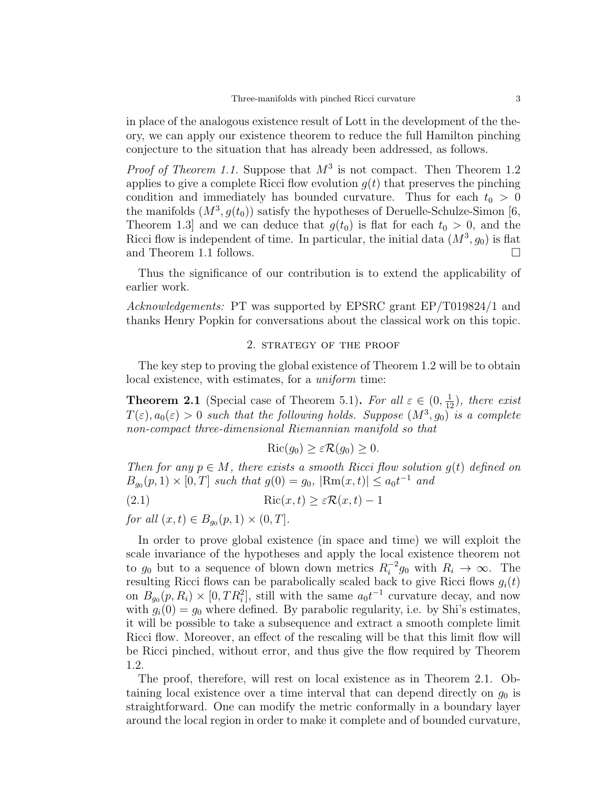in place of the analogous existence result of Lott in the development of the theory, we can apply our existence theorem to reduce the full Hamilton pinching conjecture to the situation that has already been addressed, as follows.

*Proof of Theorem 1.1.* Suppose that  $M^3$  is not compact. Then Theorem 1.2 applies to give a complete Ricci flow evolution  $g(t)$  that preserves the pinching condition and immediately has bounded curvature. Thus for each  $t_0 > 0$ the manifolds  $(M^3, g(t_0))$  satisfy the hypotheses of Deruelle-Schulze-Simon [6, Theorem 1.3 and we can deduce that  $g(t_0)$  is flat for each  $t_0 > 0$ , and the Ricci flow is independent of time. In particular, the initial data  $(M^3, g_0)$  is flat and Theorem 1.1 follows.

Thus the significance of our contribution is to extend the applicability of earlier work.

Acknowledgements: PT was supported by EPSRC grant EP/T019824/1 and thanks Henry Popkin for conversations about the classical work on this topic.

## 2. strategy of the proof

The key step to proving the global existence of Theorem 1.2 will be to obtain local existence, with estimates, for a uniform time:

**Theorem 2.1** (Special case of Theorem 5.1). For all  $\varepsilon \in (0, \frac{1}{12})$ , there exist  $T(\varepsilon), a_0(\varepsilon) > 0$  such that the following holds. Suppose  $(M^3, g_0)$  is a complete non-compact three-dimensional Riemannian manifold so that

$$
Ric(g_0) \ge \varepsilon \mathcal{R}(g_0) \ge 0.
$$

Then for any  $p \in M$ , there exists a smooth Ricci flow solution  $g(t)$  defined on  $B_{g_0}(p,1) \times [0,T]$  such that  $g(0) = g_0$ ,  $|\text{Rm}(x,t)| \le a_0 t^{-1}$  and

$$
(2.1) \quad \text{Ric}(x,t) \ge \varepsilon \mathcal{R}(x,t) - 1
$$

for all  $(x, t) \in B_{g_0}(p, 1) \times (0, T]$ .

In order to prove global existence (in space and time) we will exploit the scale invariance of the hypotheses and apply the local existence theorem not to  $g_0$  but to a sequence of blown down metrics  $R_i^{-2}$  $i^{-2}g_0$  with  $R_i \to \infty$ . The resulting Ricci flows can be parabolically scaled back to give Ricci flows  $g_i(t)$ on  $B_{g_0}(p, R_i) \times [0, TR_i^2]$ , still with the same  $a_0 t^{-1}$  curvature decay, and now with  $g_i(0) = g_0$  where defined. By parabolic regularity, i.e. by Shi's estimates, it will be possible to take a subsequence and extract a smooth complete limit Ricci flow. Moreover, an effect of the rescaling will be that this limit flow will be Ricci pinched, without error, and thus give the flow required by Theorem 1.2.

The proof, therefore, will rest on local existence as in Theorem 2.1. Obtaining local existence over a time interval that can depend directly on  $g_0$  is straightforward. One can modify the metric conformally in a boundary layer around the local region in order to make it complete and of bounded curvature,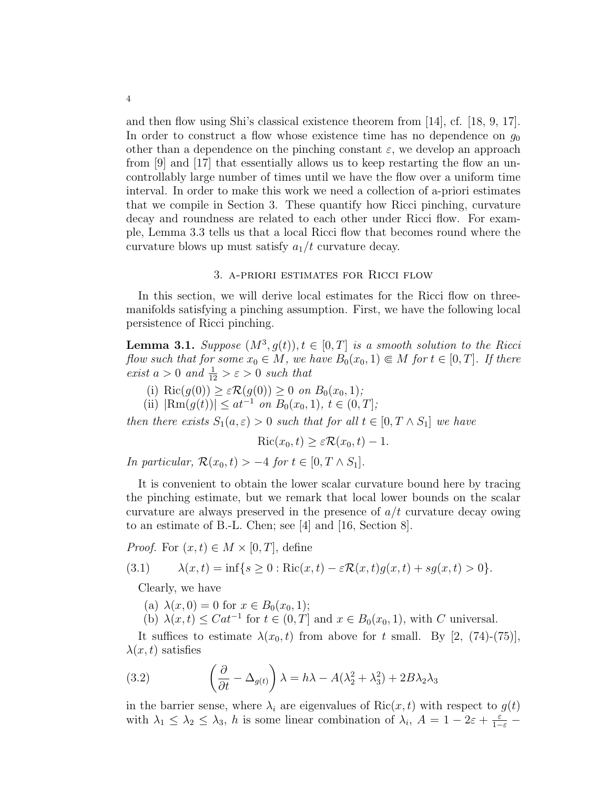and then flow using Shi's classical existence theorem from [14], cf. [18, 9, 17]. In order to construct a flow whose existence time has no dependence on  $q_0$ other than a dependence on the pinching constant  $\varepsilon$ , we develop an approach from [9] and [17] that essentially allows us to keep restarting the flow an uncontrollably large number of times until we have the flow over a uniform time interval. In order to make this work we need a collection of a-priori estimates that we compile in Section 3. These quantify how Ricci pinching, curvature decay and roundness are related to each other under Ricci flow. For example, Lemma 3.3 tells us that a local Ricci flow that becomes round where the curvature blows up must satisfy  $a_1/t$  curvature decay.

#### 3. a-priori estimates for Ricci flow

In this section, we will derive local estimates for the Ricci flow on threemanifolds satisfying a pinching assumption. First, we have the following local persistence of Ricci pinching.

**Lemma 3.1.** Suppose  $(M^3, g(t)), t \in [0, T]$  is a smooth solution to the Ricci flow such that for some  $x_0 \in M$ , we have  $B_0(x_0, 1) \in M$  for  $t \in [0, T]$ . If there exist  $a > 0$  and  $\frac{1}{12} > \varepsilon > 0$  such that

- (i) Ric $(g(0)) \geq \varepsilon \mathcal{R}(g(0)) \geq 0$  on  $B_0(x_0, 1)$ ;
- (ii)  $|\text{Rm}(g(t))| \leq at^{-1}$  on  $B_0(x_0, 1), t \in (0, T]$ ;

then there exists  $S_1(a, \varepsilon) > 0$  such that for all  $t \in [0, T \wedge S_1]$  we have

$$
Ric(x_0, t) \ge \varepsilon \mathcal{R}(x_0, t) - 1.
$$

In particular,  $\mathcal{R}(x_0, t) > -4$  for  $t \in [0, T \wedge S_1]$ .

It is convenient to obtain the lower scalar curvature bound here by tracing the pinching estimate, but we remark that local lower bounds on the scalar curvature are always preserved in the presence of  $a/t$  curvature decay owing to an estimate of B.-L. Chen; see [4] and [16, Section 8].

*Proof.* For  $(x, t) \in M \times [0, T]$ , define

$$
(3.1) \qquad \lambda(x,t) = \inf\{s \ge 0 : \text{Ric}(x,t) - \varepsilon \mathcal{R}(x,t)g(x,t) + sg(x,t) > 0\}.
$$

Clearly, we have

(a)  $\lambda(x, 0) = 0$  for  $x \in B_0(x_0, 1)$ ;

(b)  $\lambda(x,t) \leq Cat^{-1}$  for  $t \in (0,T]$  and  $x \in B_0(x_0,1)$ , with C universal.

It suffices to estimate  $\lambda(x_0, t)$  from above for t small. By [2, (74)-(75)],  $\lambda(x, t)$  satisfies

(3.2) 
$$
\left(\frac{\partial}{\partial t} - \Delta_{g(t)}\right)\lambda = h\lambda - A(\lambda_2^2 + \lambda_3^2) + 2B\lambda_2\lambda_3
$$

in the barrier sense, where  $\lambda_i$  are eigenvalues of Ric $(x, t)$  with respect to  $g(t)$ with  $\lambda_1 \leq \lambda_2 \leq \lambda_3$ , h is some linear combination of  $\lambda_i$ ,  $A = 1 - 2\varepsilon + \frac{\varepsilon}{1-\varepsilon}$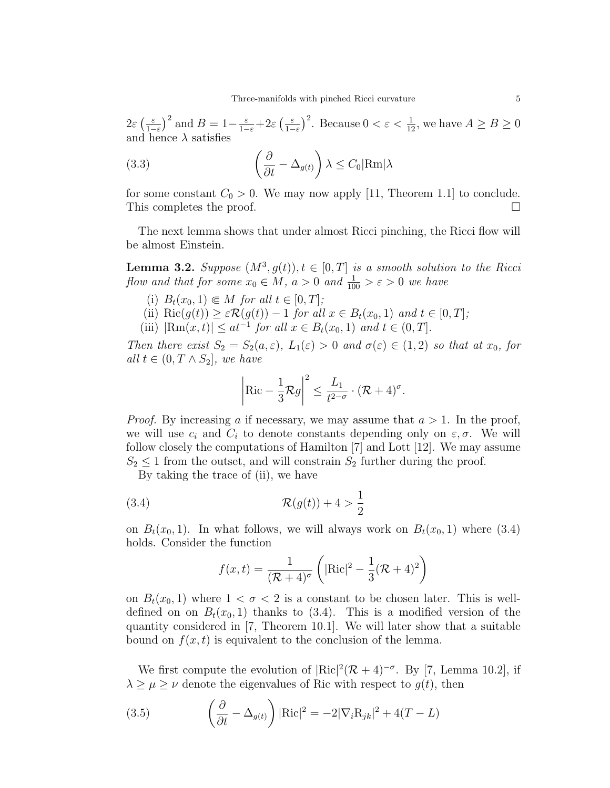$2\varepsilon$   $\left(\frac{\varepsilon}{12}\right)$  $\left(\frac{\varepsilon}{1-\varepsilon}\right)^2$  and  $B=1-\frac{\varepsilon}{1-\varepsilon}+2\varepsilon\left(\frac{\varepsilon}{1-\varepsilon}\right)$  $\frac{\varepsilon}{1-\varepsilon}$ <sup>2</sup>. Because  $0 < \varepsilon < \frac{1}{12}$ , we have  $A \ge B \ge 0$ and hence  $\lambda$  satisfies

(3.3) 
$$
\left(\frac{\partial}{\partial t} - \Delta_{g(t)}\right) \lambda \leq C_0 |\text{Rm}|\lambda
$$

for some constant  $C_0 > 0$ . We may now apply [11, Theorem 1.1] to conclude. This completes the proof.

The next lemma shows that under almost Ricci pinching, the Ricci flow will be almost Einstein.

**Lemma 3.2.** Suppose  $(M^3, g(t)), t \in [0, T]$  is a smooth solution to the Ricci flow and that for some  $x_0 \in M$ ,  $a > 0$  and  $\frac{1}{100} > \varepsilon > 0$  we have

- (i)  $B_t(x_0, 1) \in M$  for all  $t \in [0, T]$ ;
- (ii)  $\text{Ric}(g(t)) \geq \varepsilon \mathcal{R}(g(t)) 1$  for all  $x \in B_t(x_0, 1)$  and  $t \in [0, T]$ ;
- (iii)  $|\text{Rm}(x,t)| \leq at^{-1}$  for all  $x \in B_t(x_0,1)$  and  $t \in (0,T]$ .

Then there exist  $S_2 = S_2(a, \varepsilon)$ ,  $L_1(\varepsilon) > 0$  and  $\sigma(\varepsilon) \in (1, 2)$  so that at  $x_0$ , for all  $t \in (0, T ∧ S_2]$ , we have

$$
\left|\operatorname{Ric} - \frac{1}{3}\mathcal{R}g\right|^2 \le \frac{L_1}{t^{2-\sigma}} \cdot (\mathcal{R} + 4)^{\sigma}.
$$

*Proof.* By increasing a if necessary, we may assume that  $a > 1$ . In the proof, we will use  $c_i$  and  $C_i$  to denote constants depending only on  $\varepsilon, \sigma$ . We will follow closely the computations of Hamilton [7] and Lott [12]. We may assume  $S_2 \leq 1$  from the outset, and will constrain  $S_2$  further during the proof.

By taking the trace of (ii), we have

$$
(3.4) \qquad \qquad \mathcal{R}(g(t)) + 4 > \frac{1}{2}
$$

on  $B_t(x_0, 1)$ . In what follows, we will always work on  $B_t(x_0, 1)$  where (3.4) holds. Consider the function

$$
f(x,t) = \frac{1}{(\mathcal{R}+4)^{\sigma}} \left( |\text{Ric}|^2 - \frac{1}{3}(\mathcal{R}+4)^2 \right)
$$

on  $B_t(x_0, 1)$  where  $1 < \sigma < 2$  is a constant to be chosen later. This is welldefined on on  $B_t(x_0, 1)$  thanks to (3.4). This is a modified version of the quantity considered in [7, Theorem 10.1]. We will later show that a suitable bound on  $f(x, t)$  is equivalent to the conclusion of the lemma.

We first compute the evolution of  $|\text{Ric}|^2(\mathcal{R}+4)^{-\sigma}$ . By [7, Lemma 10.2], if  $\lambda \geq \mu \geq \nu$  denote the eigenvalues of Ric with respect to  $g(t)$ , then

(3.5) 
$$
\left(\frac{\partial}{\partial t} - \Delta_{g(t)}\right) |\text{Ric}|^2 = -2|\nabla_i \text{R}_{jk}|^2 + 4(T - L)
$$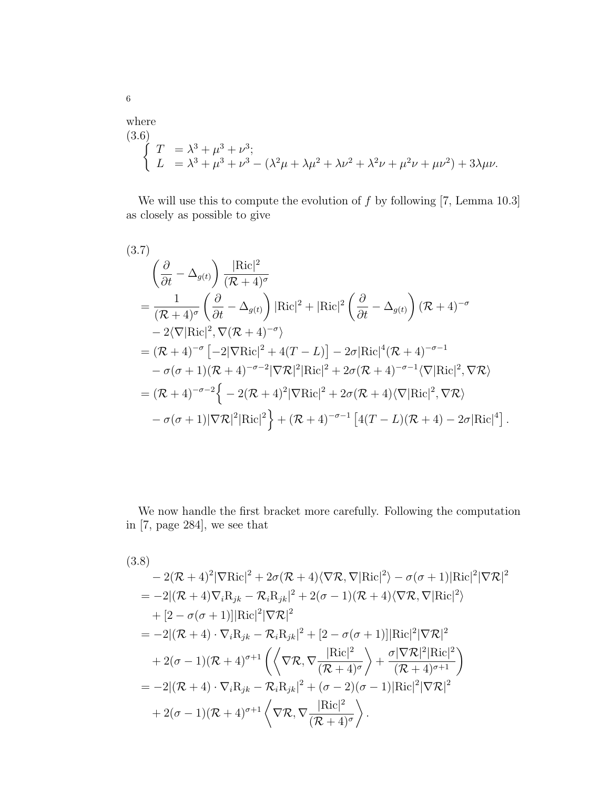where  
\n(3.6)  
\n
$$
\begin{cases}\nT = \lambda^3 + \mu^3 + \nu^3; \\
L = \lambda^3 + \mu^3 + \nu^3 - (\lambda^2 \mu + \lambda \mu^2 + \lambda \nu^2 + \lambda^2 \nu + \mu^2 \nu + \mu \nu^2) + 3\lambda \mu \nu.\n\end{cases}
$$

We will use this to compute the evolution of  $f$  by following [7, Lemma 10.3] as closely as possible to give

$$
(3.7)
$$
\n
$$
\left(\frac{\partial}{\partial t} - \Delta_{g(t)}\right) \frac{|\text{Ric}|^2}{(\mathcal{R} + 4)^{\sigma}}
$$
\n
$$
= \frac{1}{(\mathcal{R} + 4)^{\sigma}} \left(\frac{\partial}{\partial t} - \Delta_{g(t)}\right) |\text{Ric}|^2 + |\text{Ric}|^2 \left(\frac{\partial}{\partial t} - \Delta_{g(t)}\right) (\mathcal{R} + 4)^{-\sigma}
$$
\n
$$
- 2\langle \nabla |\text{Ric}|^2, \nabla (\mathcal{R} + 4)^{-\sigma} \rangle
$$
\n
$$
= (\mathcal{R} + 4)^{-\sigma} \left[ -2|\nabla \text{Ric}|^2 + 4(T - L) \right] - 2\sigma |\text{Ric}|^4 (\mathcal{R} + 4)^{-\sigma - 1}
$$
\n
$$
- \sigma(\sigma + 1)(\mathcal{R} + 4)^{-\sigma - 2} |\nabla \mathcal{R}|^2 |\text{Ric}|^2 + 2\sigma(\mathcal{R} + 4)^{-\sigma - 1} \langle \nabla |\text{Ric}|^2, \nabla \mathcal{R} \rangle
$$
\n
$$
= (\mathcal{R} + 4)^{-\sigma - 2} \left\{ -2(\mathcal{R} + 4)^2 |\nabla \text{Ric}|^2 + 2\sigma(\mathcal{R} + 4) \langle \nabla |\text{Ric}|^2, \nabla \mathcal{R} \rangle
$$
\n
$$
- \sigma(\sigma + 1)|\nabla \mathcal{R}|^2 |\text{Ric}|^2 \right\} + (\mathcal{R} + 4)^{-\sigma - 1} \left[ 4(T - L)(\mathcal{R} + 4) - 2\sigma |\text{Ric}|^4 \right].
$$

We now handle the first bracket more carefully. Following the computation in [7, page 284], we see that

(3.8)  
\n
$$
-2(\mathcal{R}+4)^{2}|\nabla \text{Ric}|^{2} + 2\sigma(\mathcal{R}+4)\langle \nabla \mathcal{R}, \nabla |\text{Ric}|^{2}\rangle - \sigma(\sigma+1)|\text{Ric}|^{2}|\nabla \mathcal{R}|^{2}
$$
\n
$$
= -2|(\mathcal{R}+4)\nabla_{i}\text{R}_{jk} - \mathcal{R}_{i}\text{R}_{jk}|^{2} + 2(\sigma-1)(\mathcal{R}+4)\langle \nabla \mathcal{R}, \nabla |\text{Ric}|^{2}\rangle
$$
\n
$$
+ [2 - \sigma(\sigma+1)]|\text{Ric}|^{2}|\nabla \mathcal{R}|^{2}
$$
\n
$$
= -2|(\mathcal{R}+4)\cdot \nabla_{i}\text{R}_{jk} - \mathcal{R}_{i}\text{R}_{jk}|^{2} + [2 - \sigma(\sigma+1)]|\text{Ric}|^{2}|\nabla \mathcal{R}|^{2}
$$
\n
$$
+ 2(\sigma-1)(\mathcal{R}+4)^{\sigma+1}\left(\left\langle \nabla \mathcal{R}, \nabla \frac{|\text{Ric}|^{2}}{(\mathcal{R}+4)^{\sigma}} \right\rangle + \frac{\sigma|\nabla \mathcal{R}|^{2}|\text{Ric}|^{2}}{(\mathcal{R}+4)^{\sigma+1}}\right)
$$
\n
$$
= -2|(\mathcal{R}+4)\cdot \nabla_{i}\text{R}_{jk} - \mathcal{R}_{i}\text{R}_{jk}|^{2} + (\sigma-2)(\sigma-1)|\text{Ric}|^{2}|\nabla \mathcal{R}|^{2}
$$
\n
$$
+ 2(\sigma-1)(\mathcal{R}+4)^{\sigma+1}\left\langle \nabla \mathcal{R}, \nabla \frac{|\text{Ric}|^{2}}{(\mathcal{R}+4)^{\sigma}} \right\rangle.
$$

6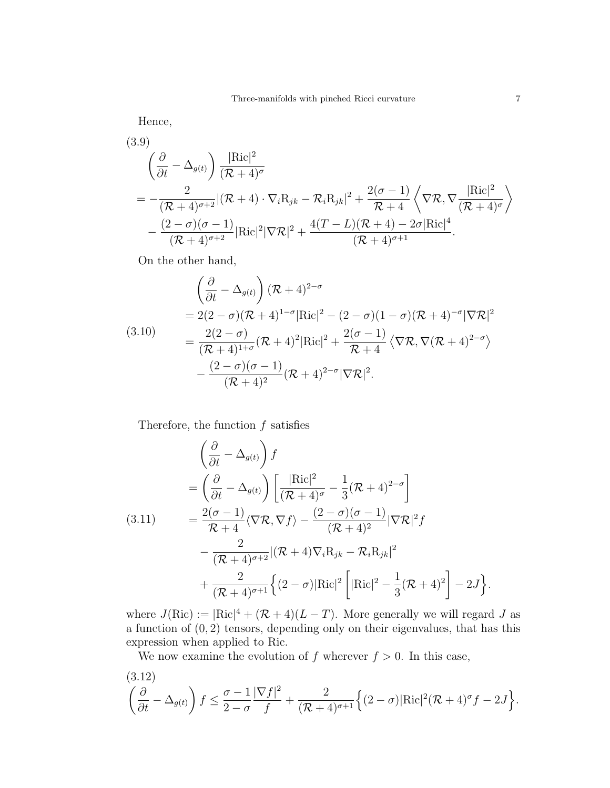Hence,

(3.9)  
\n
$$
\left(\frac{\partial}{\partial t} - \Delta_{g(t)}\right) \frac{|\text{Ric}|^2}{(\mathcal{R} + 4)^{\sigma}}\n= -\frac{2}{(\mathcal{R} + 4)^{\sigma+2}} |(\mathcal{R} + 4) \cdot \nabla_i \mathbf{R}_{jk} - \mathcal{R}_i \mathbf{R}_{jk}|^2 + \frac{2(\sigma - 1)}{\mathcal{R} + 4} \left\langle \nabla \mathcal{R}, \nabla \frac{|\text{Ric}|^2}{(\mathcal{R} + 4)^{\sigma}} \right\rangle\n- \frac{(2 - \sigma)(\sigma - 1)}{(\mathcal{R} + 4)^{\sigma+2}} |\text{Ric}|^2 |\nabla \mathcal{R}|^2 + \frac{4(T - L)(\mathcal{R} + 4) - 2\sigma |\text{Ric}|^4}{(\mathcal{R} + 4)^{\sigma+1}}.
$$

On the other hand,

$$
\begin{split}\n&\left(\frac{\partial}{\partial t} - \Delta_{g(t)}\right)(\mathcal{R} + 4)^{2-\sigma} \\
&= 2(2-\sigma)(\mathcal{R} + 4)^{1-\sigma}|\text{Ric}|^2 - (2-\sigma)(1-\sigma)(\mathcal{R} + 4)^{-\sigma}|\nabla \mathcal{R}|^2 \\
&= \frac{2(2-\sigma)}{(\mathcal{R} + 4)^{1+\sigma}}(\mathcal{R} + 4)^2|\text{Ric}|^2 + \frac{2(\sigma - 1)}{\mathcal{R} + 4}\left\langle\nabla \mathcal{R}, \nabla (\mathcal{R} + 4)^{2-\sigma}\right\rangle \\
&- \frac{(2-\sigma)(\sigma - 1)}{(\mathcal{R} + 4)^2}(\mathcal{R} + 4)^{2-\sigma}|\nabla \mathcal{R}|^2.\n\end{split}
$$

Therefore, the function  $f$  satisfies

$$
\left(\frac{\partial}{\partial t} - \Delta_{g(t)}\right) f
$$
\n
$$
= \left(\frac{\partial}{\partial t} - \Delta_{g(t)}\right) \left[\frac{|\text{Ric}|^2}{(\mathcal{R} + 4)^{\sigma}} - \frac{1}{3}(\mathcal{R} + 4)^{2-\sigma}\right]
$$
\n(3.11)\n
$$
= \frac{2(\sigma - 1)}{\mathcal{R} + 4} \langle \nabla \mathcal{R}, \nabla f \rangle - \frac{(2 - \sigma)(\sigma - 1)}{(\mathcal{R} + 4)^2} |\nabla \mathcal{R}|^2 f
$$
\n
$$
- \frac{2}{(\mathcal{R} + 4)^{\sigma+2}} |(\mathcal{R} + 4) \nabla_i \mathcal{R}_{jk} - \mathcal{R}_i \mathcal{R}_{jk}|^2
$$
\n
$$
+ \frac{2}{(\mathcal{R} + 4)^{\sigma+1}} \Big\{ (2 - \sigma) |\text{Ric}|^2 \Big[ |\text{Ric}|^2 - \frac{1}{3}(\mathcal{R} + 4)^2 \Big] - 2J \Big\}.
$$

where  $J(Ric) := |Ric|^4 + (\mathcal{R} + 4)(L - T)$ . More generally we will regard J as a function of  $(0, 2)$  tensors, depending only on their eigenvalues, that has this expression when applied to Ric.

We now examine the evolution of f wherever  $f > 0$ . In this case,

(3.12)  

$$
\left(\frac{\partial}{\partial t} - \Delta_{g(t)}\right) f \leq \frac{\sigma - 1}{2 - \sigma} \frac{|\nabla f|^2}{f} + \frac{2}{(\mathcal{R} + 4)^{\sigma+1}} \Big\{ (2 - \sigma) |\text{Ric}|^2 (\mathcal{R} + 4)^{\sigma} f - 2J \Big\}.
$$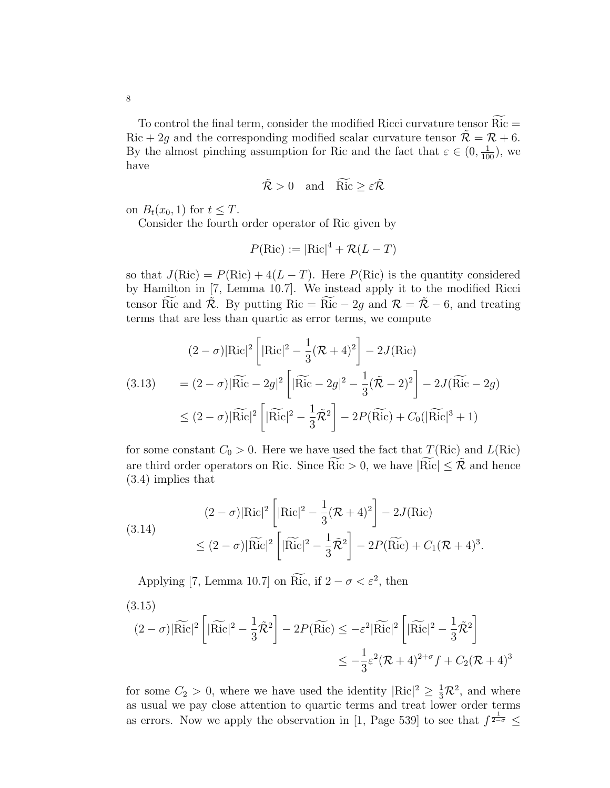To control the final term, consider the modified Ricci curvature tensor  $Ric =$ Ric + 2g and the corresponding modified scalar curvature tensor  $\tilde{\mathcal{R}} = \mathcal{R} + 6$ . By the almost pinching assumption for Ric and the fact that  $\varepsilon \in (0, \frac{1}{100})$ , we

$$
\tilde{\mathcal{R}} > 0 \quad \text{and} \quad \widetilde{\text{Ric}} \ge \varepsilon \tilde{\mathcal{R}}
$$

on  $B_t(x_0, 1)$  for  $t \leq T$ .

Consider the fourth order operator of Ric given by

$$
P(\text{Ric}) := |\text{Ric}|^4 + \mathcal{R}(L - T)
$$

so that  $J(Ric) = P(Ric) + 4(L - T)$ . Here  $P(Ric)$  is the quantity considered by Hamilton in [7, Lemma 10.7]. We instead apply it to the modified Ricci tensor Ric and  $\tilde{\mathcal{R}}$ . By putting Ric = Ric – 2g and  $\mathcal{R} = \tilde{\mathcal{R}}$  – 6, and treating terms that are less than quartic as error terms, we compute

$$
(2 - \sigma)|\text{Ric}|^{2} \left[|\text{Ric}|^{2} - \frac{1}{3}(\mathcal{R} + 4)^{2}\right] - 2J(\text{Ric})
$$
  
\n
$$
(3.13) = (2 - \sigma)|\text{Ric} - 2g|^{2} \left[|\text{Ric} - 2g|^{2} - \frac{1}{3}(\tilde{\mathcal{R}} - 2)^{2}\right] - 2J(\text{Ric} - 2g)
$$
  
\n
$$
\leq (2 - \sigma)|\text{Ric}|^{2} \left[|\text{Ric}|^{2} - \frac{1}{3}\tilde{\mathcal{R}}^{2}\right] - 2P(\text{Ric}) + C_{0}(|\text{Ric}|^{3} + 1)
$$

for some constant  $C_0 > 0$ . Here we have used the fact that  $T(\text{Ric})$  and  $L(\text{Ric})$ are third order operators on Ric. Since Ric  $> 0$ , we have  $|Ric| \leq \tilde{\mathcal{R}}$  and hence (3.4) implies that

.

(3.14)  
\n
$$
(2 - \sigma)|\text{Ric}|^2 \left[|\text{Ric}|^2 - \frac{1}{3}(\mathcal{R} + 4)^2\right] - 2J(\text{Ric})
$$
\n
$$
\leq (2 - \sigma)|\widetilde{\text{Ric}}|^2 \left[|\widetilde{\text{Ric}}|^2 - \frac{1}{3}\widetilde{\mathcal{R}}^2\right] - 2P(\widetilde{\text{Ric}}) + C_1(\mathcal{R} + 4)^3
$$

Applying [7, Lemma 10.7] on Ric, if  $2 - \sigma < \varepsilon^2$ , then

(3.15)  
\n
$$
(2 - \sigma)|\widetilde{\text{Ric}}|^2 \left[|\widetilde{\text{Ric}}|^2 - \frac{1}{3}\tilde{\mathcal{R}}^2\right] - 2P(\widetilde{\text{Ric}}) \le -\varepsilon^2 |\widetilde{\text{Ric}}|^2 \left[|\widetilde{\text{Ric}}|^2 - \frac{1}{3}\tilde{\mathcal{R}}^2\right]
$$
\n
$$
\le -\frac{1}{3}\varepsilon^2 (\mathcal{R} + 4)^{2+\sigma} f + C_2 (\mathcal{R} + 4)^3
$$

for some  $C_2 > 0$ , where we have used the identity  $|Ric|^2 \geq \frac{1}{3}\mathcal{R}^2$ , and where as usual we pay close attention to quartic terms and treat lower order terms as errors. Now we apply the observation in [1, Page 539] to see that  $f^{\frac{1}{2-\sigma}} \leq$ 

have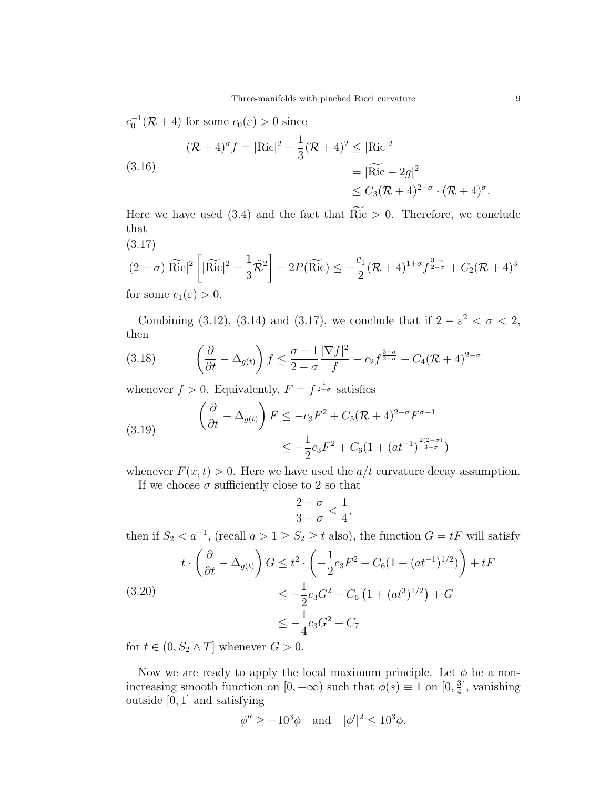$$
c_0^{-1}(\mathcal{R} + 4) \text{ for some } c_0(\varepsilon) > 0 \text{ since}
$$
  

$$
(\mathcal{R} + 4)^\sigma f = |\text{Ric}|^2 - \frac{1}{3}(\mathcal{R} + 4)^2 \le |\text{Ric}|^2
$$
  

$$
= |\widetilde{\text{Ric}} - 2g|^2
$$
  

$$
\le C_3(\mathcal{R} + 4)^{2-\sigma} \cdot (\mathcal{R} + 4)^\sigma.
$$

Here we have used (3.4) and the fact that  $\widetilde{Ric} > 0$ . Therefore, we conclude that

(3.17)  
\n
$$
(2-\sigma)|\widetilde{\text{Ric}}|^2 \left[|\widetilde{\text{Ric}}|^2 - \frac{1}{3}\widetilde{\mathcal{R}}^2\right] - 2P(\widetilde{\text{Ric}}) \le -\frac{c_1}{2}(\mathcal{R} + 4)^{1+\sigma} f^{\frac{3-\sigma}{2-\sigma}} + C_2(\mathcal{R} + 4)^3
$$

for some  $c_1(\varepsilon) > 0$ .

Combining (3.12), (3.14) and (3.17), we conclude that if  $2 - \varepsilon^2 < \sigma < 2$ , then

(3.18) 
$$
\left(\frac{\partial}{\partial t} - \Delta_{g(t)}\right) f \leq \frac{\sigma - 1}{2 - \sigma} \frac{|\nabla f|^2}{f} - c_2 f^{\frac{3 - \sigma}{2 - \sigma}} + C_4 (\mathcal{R} + 4)^{2 - \sigma}
$$

whenever  $f > 0$ . Equivalently,  $F = f^{\frac{1}{2-\sigma}}$  satisfies

(3.19) 
$$
\left(\frac{\partial}{\partial t} - \Delta_{g(t)}\right) F \leq -c_3 F^2 + C_5 (\mathcal{R} + 4)^{2-\sigma} F^{\sigma - 1} \leq -\frac{1}{2} c_3 F^2 + C_6 (1 + (at^{-1})^{\frac{2(2-\sigma)}{3-\sigma}})
$$

whenever  $F(x, t) > 0$ . Here we have used the  $a/t$  curvature decay assumption.

If we choose  $\sigma$  sufficiently close to 2 so that

$$
\frac{2-\sigma}{3-\sigma}<\frac{1}{4},
$$

then if  $S_2 < a^{-1}$ , (recall  $a > 1 \ge S_2 \ge t$  also), the function  $G = tF$  will satisfy

$$
t \cdot \left(\frac{\partial}{\partial t} - \Delta_{g(t)}\right) G \le t^2 \cdot \left(-\frac{1}{2}c_3 F^2 + C_6(1 + (at^{-1})^{1/2})\right) + tF
$$
  
(3.20)  

$$
\le -\frac{1}{2}c_3 G^2 + C_6 \left(1 + (at^3)^{1/2}\right) + G
$$

$$
\le -\frac{1}{4}c_3 G^2 + C_7
$$

for  $t \in (0, S_2 \wedge T]$  whenever  $G > 0$ .

Now we are ready to apply the local maximum principle. Let  $\phi$  be a nonincreasing smooth function on  $[0, +\infty)$  such that  $\phi(s) \equiv 1$  on  $[0, \frac{3}{4}]$  $\frac{3}{4}$ , vanishing outside [0, 1] and satisfying

$$
\phi'' \ge -10^3 \phi \quad \text{and} \quad |\phi'|^2 \le 10^3 \phi.
$$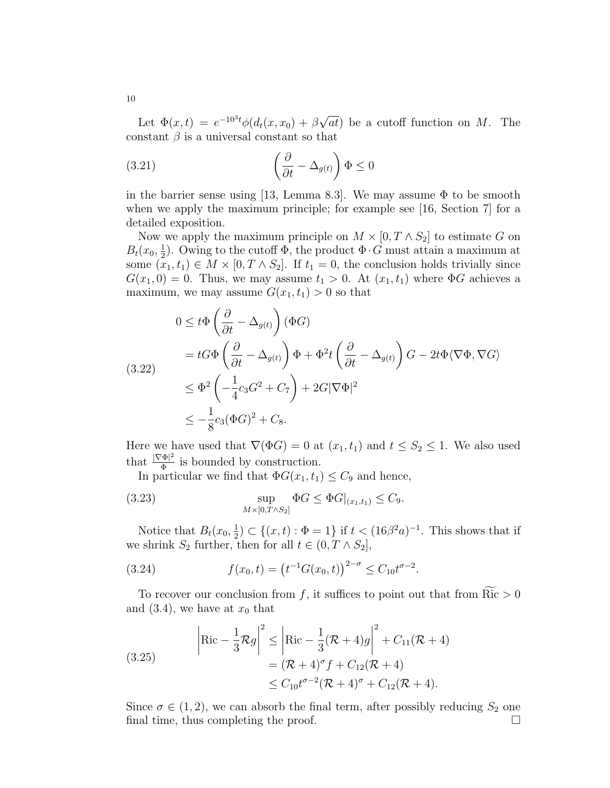Let  $\Phi(x,t) = e^{-10^3t} \phi(d_t(x,x_0) + \beta)$ √ at) be a cutoff function on M. The constant  $\beta$  is a universal constant so that

(3.21) 
$$
\left(\frac{\partial}{\partial t} - \Delta_{g(t)}\right) \Phi \le 0
$$

in the barrier sense using [13, Lemma 8.3]. We may assume  $\Phi$  to be smooth when we apply the maximum principle; for example see [16, Section 7] for a detailed exposition.

Now we apply the maximum principle on  $M \times [0, T \wedge S_2]$  to estimate G on  $B_t(x_0, \frac{1}{2})$  $\frac{1}{2}$ ). Owing to the cutoff  $\Phi$ , the product  $\Phi \cdot G$  must attain a maximum at some  $(x_1, t_1) \in M \times [0, T \wedge S_2]$ . If  $t_1 = 0$ , the conclusion holds trivially since  $G(x_1, 0) = 0$ . Thus, we may assume  $t_1 > 0$ . At  $(x_1, t_1)$  where  $\Phi G$  achieves a maximum, we may assume  $G(x_1, t_1) > 0$  so that

$$
0 \leq t\Phi \left(\frac{\partial}{\partial t} - \Delta_{g(t)}\right)(\Phi G)
$$
  
=  $tG\Phi \left(\frac{\partial}{\partial t} - \Delta_{g(t)}\right)\Phi + \Phi^2 t \left(\frac{\partial}{\partial t} - \Delta_{g(t)}\right)G - 2t\Phi \langle \nabla \Phi, \nabla G \rangle$   

$$
\leq \Phi^2 \left(-\frac{1}{4}c_3G^2 + C_7\right) + 2G|\nabla \Phi|^2
$$
  

$$
\leq -\frac{1}{8}c_3(\Phi G)^2 + C_8.
$$

Here we have used that  $\nabla(\Phi G) = 0$  at  $(x_1, t_1)$  and  $t \leq S_2 \leq 1$ . We also used that  $\frac{|\nabla \Phi|^2}{\Phi}$  $\frac{\Phi|^2}{\Phi}$  is bounded by construction.

In particular we find that  $\Phi G(x_1, t_1) \leq C_9$  and hence,

(3.23) 
$$
\sup_{M \times [0, T \wedge S_2]} \Phi G \leq \Phi G|_{(x_1, t_1)} \leq C_9.
$$

Notice that  $B_t(x_0, \frac{1}{2})$  $\frac{1}{2}$ ) ⊂ {(x, t) :  $\Phi = 1$ } if  $t < (16\beta^2 a)^{-1}$ . This shows that if we shrink  $S_2$  further, then for all  $t \in (0, T \wedge S_2]$ ,

(3.24) 
$$
f(x_0, t) = (t^{-1}G(x_0, t))^{2-\sigma} \leq C_{10}t^{\sigma-2}.
$$

To recover our conclusion from f, it suffices to point out that from  $\widetilde{Ric} > 0$ and  $(3.4)$ , we have at  $x_0$  that

(3.25)  

$$
\begin{aligned}\n\left| \text{Ric} - \frac{1}{3} \mathcal{R}g \right|^2 &\leq \left| \text{Ric} - \frac{1}{3} (\mathcal{R} + 4)g \right|^2 + C_{11} (\mathcal{R} + 4) \\
&= (\mathcal{R} + 4)^{\sigma} f + C_{12} (\mathcal{R} + 4) \\
&\leq C_{10} t^{\sigma - 2} (\mathcal{R} + 4)^{\sigma} + C_{12} (\mathcal{R} + 4).\n\end{aligned}
$$

Since  $\sigma \in (1, 2)$ , we can absorb the final term, after possibly reducing  $S_2$  one final time, thus completing the proof.  $\Box$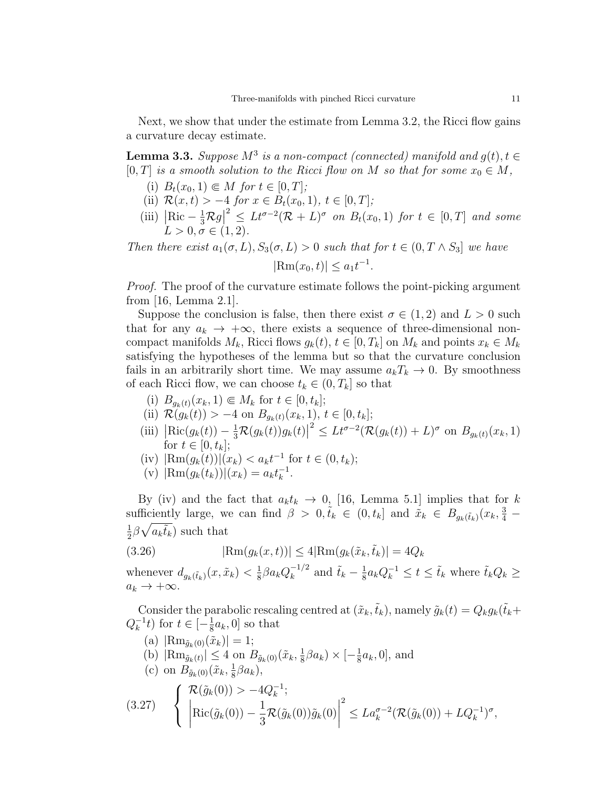Next, we show that under the estimate from Lemma 3.2, the Ricci flow gains a curvature decay estimate.

**Lemma 3.3.** Suppose  $M^3$  is a non-compact (connected) manifold and  $g(t)$ ,  $t \in$ [0, T] is a smooth solution to the Ricci flow on M so that for some  $x_0 \in M$ ,

- (i)  $B_t(x_0, 1) \in M$  for  $t \in [0, T]$ ;
- (ii)  $\mathcal{R}(x,t) > -4$  for  $x \in B_t(x_0,1), t \in [0,T]$ ;
- (iii)  $\left|\operatorname{Ric} \frac{1}{3}\mathcal{R}g\right|$  $2 \leq L t^{\sigma-2} (\mathcal{R} + L)^{\sigma}$  on  $B_t(x_0, 1)$  for  $t \in [0, T]$  and some  $L > 0, \sigma \in (1, 2).$

Then there exist  $a_1(\sigma, L), S_3(\sigma, L) > 0$  such that for  $t \in (0, T \wedge S_3]$  we have  $|\text{Rm}(x_0, t)| \leq a_1 t^{-1}.$ 

Proof. The proof of the curvature estimate follows the point-picking argument from [16, Lemma 2.1].

Suppose the conclusion is false, then there exist  $\sigma \in (1,2)$  and  $L > 0$  such that for any  $a_k \to +\infty$ , there exists a sequence of three-dimensional noncompact manifolds  $M_k$ , Ricci flows  $g_k(t)$ ,  $t \in [0, T_k]$  on  $M_k$  and points  $x_k \in M_k$ satisfying the hypotheses of the lemma but so that the curvature conclusion fails in an arbitrarily short time. We may assume  $a_kT_k \to 0$ . By smoothness of each Ricci flow, we can choose  $t_k \in (0, T_k]$  so that

- (i)  $B_{q_k(t)}(x_k, 1) \in M_k$  for  $t \in [0, t_k];$
- (ii)  $\mathcal{R}(g_k(t)) > -4$  on  $B_{g_k(t)}(x_k, 1), t \in [0, t_k];$
- (iii)  $\left| \text{Ric}(g_k(t)) \frac{1}{3} \mathcal{R}(g_k(t)) g_k(t) \right|$  $2 \leq L t^{\sigma-2} (\mathcal{R}(g_k(t)) + L)^{\sigma}$  on  $B_{g_k(t)}(x_k, 1)$ for  $t \in [0, t_k]$ ;
- (iv)  $|\text{Rm}(g_k(t))|(x_k) < a_k t^{-1}$  for  $t \in (0, t_k)$ ;
- (v)  $|\text{Rm}(g_k(t_k))|(x_k) = a_k t_k^{-1}$  $\frac{-1}{k}$ .

By (iv) and the fact that  $a_k t_k \rightarrow 0$ , [16, Lemma 5.1] implies that for k sufficiently large, we can find  $\beta > 0, \tilde{t}_k \in (0, t_k]$  and  $\tilde{x}_k \in B_{g_k(\tilde{t}_k)}(x_k, \frac{3}{4}$ 1  $\frac{1}{2}\beta\sqrt{a_k\tilde{t}_k}$  such that

$$
(3.26) \qquad |\text{Rm}(g_k(x,t))| \le 4|\text{Rm}(g_k(\tilde{x}_k, \tilde{t}_k))| = 4Q_k
$$

whenever  $d_{g_k(\tilde{t}_k)}(x, \tilde{x}_k) < \frac{1}{8}$  $\frac{1}{8}\beta a_k Q_k^{-1/2}$  $\frac{-1}{k}$  and  $\tilde{t}_k - \frac{1}{8}$  $\frac{1}{8} a_k Q_k^{-1} \leq t \leq \tilde{t}_k$  where  $\tilde{t}_k Q_k \geq$  $a_k \to +\infty$ .

Consider the parabolic rescaling centred at  $(\tilde{x}_k, \tilde{t}_k)$ , namely  $\tilde{g}_k(t) = Q_k g_k(\tilde{t}_k+t)$  $Q_k^{-1}$  $\frac{1}{k}$  t for  $t \in \left[-\frac{1}{8}\right]$  $\frac{1}{8}a_k, 0]$  so that

(a)  $|\text{Rm}_{\tilde{q}_k(0)}(\tilde{x}_k)| = 1;$ (b)  $|\text{Rm}_{\tilde{g}_k(t)}| \leq 4$  on  $B_{\tilde{g}_k(0)}(\tilde{x}_k, \frac{1}{8})$  $\frac{1}{8}\beta a_k \rangle \times \left[-\frac{1}{8}\right]$  $\frac{1}{8}a_k, 0]$ , and (c) on  $B_{\tilde{g}_k(0)}(\tilde{x}_k, \frac{1}{8})$  $\frac{1}{8}\beta a_k$ ), (3.27)  $\sqrt{ }$  $\left| \right|$  $\mathcal{L}$  $\mathcal{R}(\tilde{g}_k(0)) > -4Q_k^{-1}$  $\frac{-1}{k};$   $\operatorname{Ric}(\tilde{g}_k(0)) - \frac{1}{2}$  $\frac{1}{3} \mathcal{R}(\tilde{g}_k(0))\tilde{g}_k(0)$  2  $\leq La_k^{\sigma-2}(\mathcal{R}(\tilde{g}_k(0)) + LQ_k^{-1})^{\sigma},$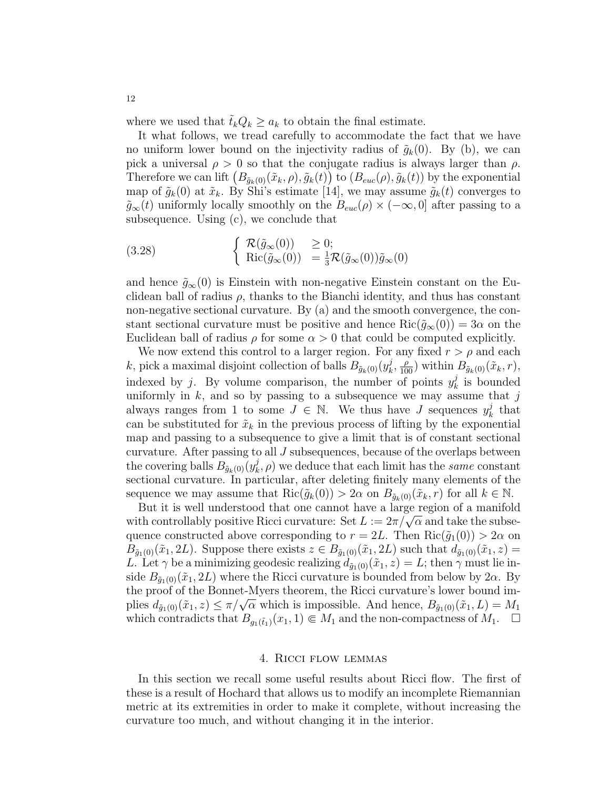where we used that  $\tilde{t}_k Q_k \ge a_k$  to obtain the final estimate.

It what follows, we tread carefully to accommodate the fact that we have no uniform lower bound on the injectivity radius of  $\tilde{g}_k(0)$ . By (b), we can pick a universal  $\rho > 0$  so that the conjugate radius is always larger than  $\rho$ . Therefore we can lift  $(B_{\tilde{g}_k(0)}(\tilde{x}_k, \rho), \tilde{g}_k(t))$  to  $(B_{euc}(\rho), \tilde{g}_k(t))$  by the exponential map of  $\tilde{g}_k(0)$  at  $\tilde{x}_k$ . By Shi's estimate [14], we may assume  $\tilde{g}_k(t)$  converges to  $\tilde{g}_{\infty}(t)$  uniformly locally smoothly on the  $B_{euc}(\rho) \times (-\infty, 0]$  after passing to a subsequence. Using (c), we conclude that

(3.28) 
$$
\begin{cases} \mathcal{R}(\tilde{g}_{\infty}(0)) \geq 0; \\ \text{Ric}(\tilde{g}_{\infty}(0)) = \frac{1}{3}\mathcal{R}(\tilde{g}_{\infty}(0))\tilde{g}_{\infty}(0) \end{cases}
$$

and hence  $\tilde{g}_{\infty}(0)$  is Einstein with non-negative Einstein constant on the Euclidean ball of radius  $\rho$ , thanks to the Bianchi identity, and thus has constant non-negative sectional curvature. By (a) and the smooth convergence, the constant sectional curvature must be positive and hence  $\text{Ric}(\tilde{q}_{\infty}(0)) = 3\alpha$  on the Euclidean ball of radius  $\rho$  for some  $\alpha > 0$  that could be computed explicitly.

We now extend this control to a larger region. For any fixed  $r > \rho$  and each k, pick a maximal disjoint collection of balls  $B_{\tilde{g}_k(0)}(y_k^j)$  $(\tilde{x}_k, \frac{\rho}{100})$  within  $B_{\tilde{g}_k(0)}(\tilde{x}_k, r)$ , indexed by j. By volume comparison, the number of points  $y_k^j$  $\frac{\partial}{\partial k}$  is bounded uniformly in  $k$ , and so by passing to a subsequence we may assume that  $j$ always ranges from 1 to some  $J \in \mathbb{N}$ . We thus have J sequences  $y_k^j$  $\frac{j}{k}$  that can be substituted for  $\tilde{x}_k$  in the previous process of lifting by the exponential map and passing to a subsequence to give a limit that is of constant sectional curvature. After passing to all  $J$  subsequences, because of the overlaps between the covering balls  $B_{\tilde{g}_k(0)}(y_k^j)$  $(k, \rho)$  we deduce that each limit has the *same* constant sectional curvature. In particular, after deleting finitely many elements of the sequence we may assume that  $\text{Ric}(\tilde{g}_k(0)) > 2\alpha$  on  $B_{\tilde{g}_k(0)}(\tilde{x}_k, r)$  for all  $k \in \mathbb{N}$ .

But it is well understood that one cannot have a large region of a manifold But it is well understood that one cannot have a large region of a manifold with controllably positive Ricci curvature: Set  $L := 2\pi/\sqrt{\alpha}$  and take the subsequence constructed above corresponding to  $r = 2L$ . Then  $\text{Ric}(\tilde{g}_1(0)) > 2\alpha$  on  $B_{\tilde{g}_1(0)}(\tilde{x}_1, 2L)$ . Suppose there exists  $z \in B_{\tilde{g}_1(0)}(\tilde{x}_1, 2L)$  such that  $d_{\tilde{g}_1(0)}(\tilde{x}_1, z) =$ L. Let  $\gamma$  be a minimizing geodesic realizing  $d_{\tilde{g}_1(0)}(\tilde{x}_1, z) = L$ ; then  $\gamma$  must lie inside  $B_{\tilde{g}_1(0)}(\tilde{x}_1, 2L)$  where the Ricci curvature is bounded from below by  $2\alpha$ . By the proof of the Bonnet-Myers theorem, the Ricci curvature's lower bound imthe proof of the bonnet-myers theorem, the Kicci curvature shower bound im-<br>plies  $d_{\tilde{g}_1(0)}(\tilde{x}_1, z) \leq \pi/\sqrt{\alpha}$  which is impossible. And hence,  $B_{\tilde{g}_1(0)}(\tilde{x}_1, L) = M_1$ which contradicts that  $B_{g_1(\tilde{t}_1)}(x_1, 1) \in M_1$  and the non-compactness of  $M_1$ .

#### 4. Ricci flow lemmas

In this section we recall some useful results about Ricci flow. The first of these is a result of Hochard that allows us to modify an incomplete Riemannian metric at its extremities in order to make it complete, without increasing the curvature too much, and without changing it in the interior.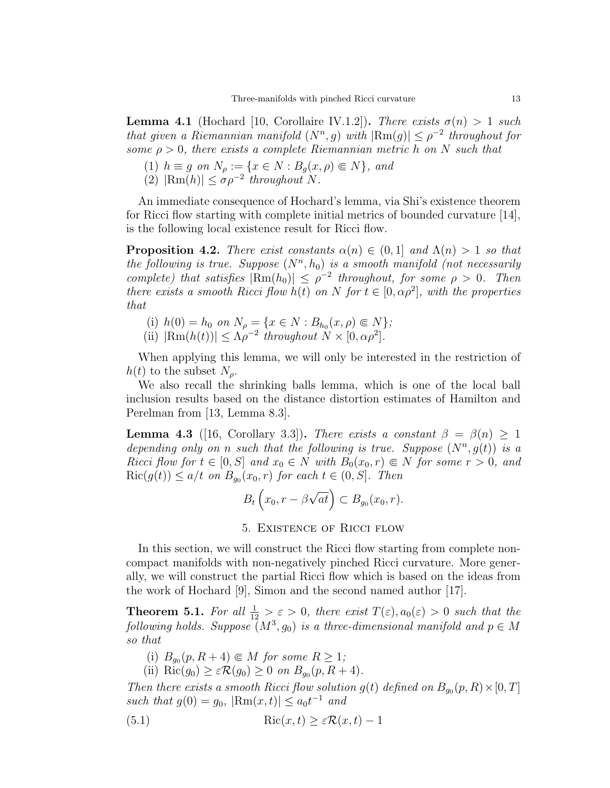**Lemma 4.1** (Hochard [10, Corollaire IV.1.2]). There exists  $\sigma(n) > 1$  such that given a Riemannian manifold  $(N^n, g)$  with  $|\text{Rm}(g)| \leq \rho^{-2}$  throughout for some  $\rho > 0$ , there exists a complete Riemannian metric h on N such that

- (1)  $h \equiv g$  on  $N_\rho := \{x \in N : B_q(x, \rho) \in N\}$ , and
- (2)  $|\text{Rm}(h)| \leq \sigma \rho^{-2}$  throughout N.

An immediate consequence of Hochard's lemma, via Shi's existence theorem for Ricci flow starting with complete initial metrics of bounded curvature [14], is the following local existence result for Ricci flow.

**Proposition 4.2.** There exist constants  $\alpha(n) \in (0,1]$  and  $\Lambda(n) > 1$  so that the following is true. Suppose  $(N^n, h_0)$  is a smooth manifold (not necessarily complete) that satisfies  $|\text{Rm}(h_0)| \leq \rho^{-2}$  throughout, for some  $\rho > 0$ . Then there exists a smooth Ricci flow  $h(t)$  on N for  $t \in [0, \alpha \rho^2]$ , with the properties that

- (i)  $h(0) = h_0$  on  $N_\rho = \{x \in N : B_{h_0}(x, \rho) \in N\};$
- (ii)  $|\text{Rm}(h(t))| \leq \Lambda \rho^{-2}$  throughout  $N \times [0, \alpha \rho^2]$ .

When applying this lemma, we will only be interested in the restriction of  $h(t)$  to the subset  $N<sub>o</sub>$ .

We also recall the shrinking balls lemma, which is one of the local ball inclusion results based on the distance distortion estimates of Hamilton and Perelman from [13, Lemma 8.3].

**Lemma 4.3** ([16, Corollary 3.3]). There exists a constant  $\beta = \beta(n) \geq 1$ depending only on n such that the following is true. Suppose  $(N^n, g(t))$  is a Ricci flow for  $t \in [0, S]$  and  $x_0 \in N$  with  $B_0(x_0, r) \in N$  for some  $r > 0$ , and  $\text{Ric}(g(t)) \leq a/t$  on  $B_{g_0}(x_0, r)$  for each  $t \in (0, S]$ . Then

$$
B_t\left(x_0,r-\beta\sqrt{at}\right)\subset B_{g_0}(x_0,r).
$$

### 5. Existence of Ricci flow

In this section, we will construct the Ricci flow starting from complete noncompact manifolds with non-negatively pinched Ricci curvature. More generally, we will construct the partial Ricci flow which is based on the ideas from the work of Hochard [9], Simon and the second named author [17].

**Theorem 5.1.** For all  $\frac{1}{12} > \varepsilon > 0$ , there exist  $T(\varepsilon)$ ,  $a_0(\varepsilon) > 0$  such that the following holds. Suppose  $(M^3, g_0)$  is a three-dimensional manifold and  $p \in M$ so that

- (i)  $B_{g_0}(p, R+4) \in M$  for some  $R \ge 1$ ;
- (ii) Ric $(g_0) \geq \varepsilon \mathcal{R}(g_0) \geq 0$  on  $B_{g_0}(p, R+4)$ .

Then there exists a smooth Ricci flow solution  $g(t)$  defined on  $B_{g_0}(p, R) \times [0, T]$ such that  $g(0) = g_0$ ,  $|\text{Rm}(x, t)| \le a_0 t^{-1}$  and

(5.1) 
$$
\operatorname{Ric}(x,t) \ge \varepsilon \mathcal{R}(x,t) - 1
$$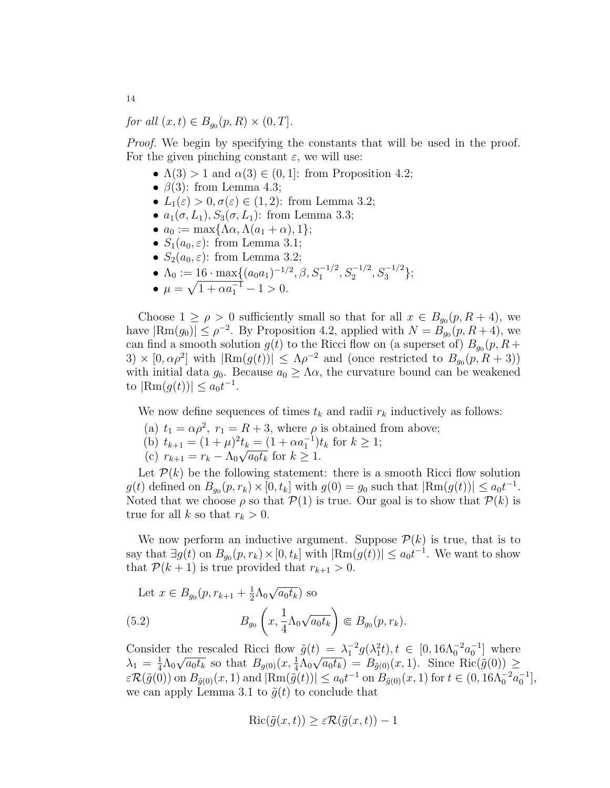for all  $(x,t) \in B_{g_0}(p,R) \times (0,T]$ .

Proof. We begin by specifying the constants that will be used in the proof. For the given pinching constant  $\varepsilon$ , we will use:

- $\Lambda(3) > 1$  and  $\alpha(3) \in (0,1]$ : from Proposition 4.2;
- $\beta(3)$ : from Lemma 4.3;
- $L_1(\varepsilon) > 0, \sigma(\varepsilon) \in (1, 2)$ : from Lemma 3.2;
- $a_1(\sigma, L_1)$ ,  $S_3(\sigma, L_1)$ : from Lemma 3.3;
- $a_0 := \max\{\Lambda \alpha, \Lambda (a_1 + \alpha), 1\};$
- $S_1(a_0, \varepsilon)$ : from Lemma 3.1;
- $S_2(a_0, \varepsilon)$ : from Lemma 3.2;
- $\Lambda_0 := 16 \cdot \max\{(a_0 a_1)^{-1/2}, \beta, S_1^{-1/2}, S_2^{-1/2}, S_3^{-1/2}\};$
- $\mu = \sqrt{1 + \alpha a_1^{-1}} 1 > 0.$

Choose  $1 \ge \rho > 0$  sufficiently small so that for all  $x \in B_{g_0}(p, R+4)$ , we have  $|\text{Rm}(g_0)| \le \rho^{-2}$ . By Proposition 4.2, applied with  $N = \tilde{B}_{g_0}(p, R+4)$ , we can find a smooth solution  $g(t)$  to the Ricci flow on (a superset of)  $B_{g_0}(p, R+)$  $3) \times [0, \alpha \rho^2]$  with  $|\text{Rm}(g(t))| \leq \Lambda \rho^{-2}$  and (once restricted to  $B_{g_0}(p, R+3)$ ) with initial data  $q_0$ . Because  $a_0 \geq \Lambda \alpha$ , the curvature bound can be weakened to  $|\text{Rm}(g(t))| \le a_0 t^{-1}$ .

We now define sequences of times  $t_k$  and radii  $r_k$  inductively as follows:

- (a)  $t_1 = \alpha \rho^2$ ,  $r_1 = R + 3$ , where  $\rho$  is obtained from above;
- (b)  $t_{k+1} = (1 + \mu)^2 t_k = (1 + \alpha a_1^{-1}) t_k$  for  $k \ge 1$ ;
- (c)  $r_{k+1} = r_k \Lambda_0 \sqrt{a_0 t_k}$  for  $k \geq 1$ .

Let  $P(k)$  be the following statement: there is a smooth Ricci flow solution  $g(t)$  defined on  $B_{g_0}(p,r_k) \times [0, t_k]$  with  $g(0) = g_0$  such that  $|\text{Rm}(g(t))| \le a_0 t^{-1}$ . Noted that we choose  $\rho$  so that  $\mathcal{P}(1)$  is true. Our goal is to show that  $\mathcal{P}(k)$  is true for all k so that  $r_k > 0$ .

We now perform an inductive argument. Suppose  $\mathcal{P}(k)$  is true, that is to say that  $\exists g(t)$  on  $B_{g_0}(p,r_k) \times [0, t_k]$  with  $|\text{Rm}(g(t))| \le a_0 t^{-1}$ . We want to show that  $\mathcal{P}(k+1)$  is true provided that  $r_{k+1} > 0$ .

Let  $x \in B_{g_0}(p, r_{k+1} + \frac{1}{2})$  $\frac{1}{2}\Lambda_0$ √  $\overline{a_0t_k}$ ) so  $(5.2)$   $B_{g_0}$  $\sqrt{ }$ x, 1  $\frac{1}{4}\Lambda_0$ √  $\overline{a_0t_k}$  $\Big) \in B_{g_0}(p, r_k).$ 

Consider the rescaled Ricci flow  $\tilde{g}(t) = \lambda_1^{-2} g(\lambda_1^2 t), t \in [0, 16\lambda_0^{-2} a_0^{-1}]$  where  $\lambda_1 = \frac{1}{4}$  $\frac{1}{4}\Lambda_0\sqrt{a_0t_k}$  so that  $B_{g(0)}(x,\frac{1}{4}\Lambda_0\sqrt{a_0t_k}) = B_{\tilde{g}(0)}(x,1)$ . Since  $\text{Ric}(\tilde{g}(0)) \geq$  $\varepsilon \mathcal{R}(\tilde{g}(0))$  on  $B_{\tilde{g}(0)}(x,1)$  and  $|\text{Rm}(\tilde{g}(t))| \le a_0 t^{-1}$  on  $B_{\tilde{g}(0)}(x,1)$  for  $t \in (0, 16 \Lambda_0^{-2} a_0^{-1}],$ we can apply Lemma 3.1 to  $\tilde{q}(t)$  to conclude that

$$
\operatorname{Ric}(\tilde{g}(x,t)) \ge \varepsilon \mathcal{R}(\tilde{g}(x,t)) - 1
$$

14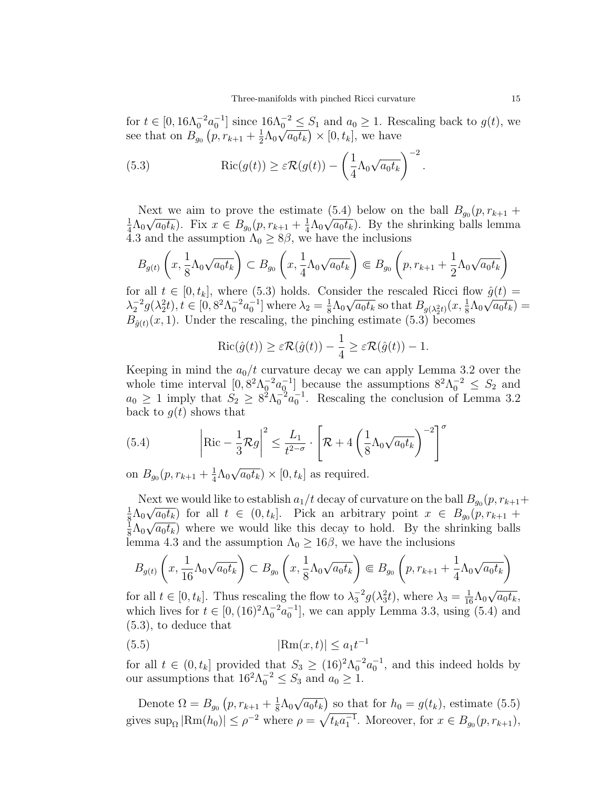for  $t \in [0, 16\Lambda_0^{-2}a_0^{-1}]$  since  $16\Lambda_0^{-2} \leq S_1$  and  $a_0 \geq 1$ . Rescaling back to  $g(t)$ , we see that on  $B_{g_0}(p,r_{k+1}+\frac{1}{2})$  $\frac{1}{2}\Lambda_0\sqrt{a_0t_k}\big)\times[0,t_k],$  we have

(5.3) Ric(g(t)) ≥ εR(g(t)) − 1 4 Λ0 √ a0t<sup>k</sup> <sup>−</sup><sup>2</sup>

Next we aim to prove the estimate  $(5.4)$  below on the ball  $B_{g_0}(p, r_{k+1} + \sqrt{p})$ 1  $\frac{1}{4}\Lambda_0\sqrt{a_0t_k}$ ). Fix  $x \in B_{g_0}(p, r_{k+1} + \frac{1}{4})$  $\frac{1}{4}\Lambda_0\sqrt{a_0t_k}$ . By the shrinking balls lemma 4.3 and the assumption  $\Lambda_0 \geq 8\beta$ , we have the inclusions

$$
B_{g(t)}\left(x, \frac{1}{8}\Lambda_0\sqrt{a_0t_k}\right) \subset B_{g_0}\left(x, \frac{1}{4}\Lambda_0\sqrt{a_0t_k}\right) \Subset B_{g_0}\left(p, r_{k+1} + \frac{1}{2}\Lambda_0\sqrt{a_0t_k}\right)
$$

for all  $t \in [0, t_k]$ , where (5.3) holds. Consider the rescaled Ricci flow  $\hat{g}(t) =$  $\lambda_2^{-2} g(\lambda_2^2 t), t \in [0, 8^2 \Lambda_0^{-2} a_0^{-1}]$  where  $\lambda_2 = \frac{1}{8}$  $\frac{1}{8}\Lambda_0\sqrt{a_0t_k}$  so that  $B_{g(\lambda_2^2t)}(x,\frac{1}{8}\Lambda_0\sqrt{a_0t_k})=$  $B_{\hat{q}(t)}(x, 1)$ . Under the rescaling, the pinching estimate (5.3) becomes

$$
\operatorname{Ric}(\hat{g}(t)) \ge \varepsilon \mathcal{R}(\hat{g}(t)) - \frac{1}{4} \ge \varepsilon \mathcal{R}(\hat{g}(t)) - 1.
$$

Keeping in mind the  $a_0/t$  curvature decay we can apply Lemma 3.2 over the whole time interval  $[0, 8^2\Lambda_0^{-2}a_0^{-1}]$  because the assumptions  $8^2\Lambda_0^{-2} \leq S_2$  and  $a_0 \geq 1$  imply that  $S_2 \geq 8^2 \Lambda_0^{-2} a_0^{-1}$ . Rescaling the conclusion of Lemma 3.2 back to  $q(t)$  shows that

(5.4) 
$$
\left| \mathrm{Ric} - \frac{1}{3} \mathcal{R}g \right|^2 \le \frac{L_1}{t^{2-\sigma}} \cdot \left[ \mathcal{R} + 4 \left( \frac{1}{8} \Lambda_0 \sqrt{a_0 t_k} \right)^{-2} \right]^{\sigma}
$$

on  $B_{g_0}(p,r_{k+1}+\frac{1}{4})$  $\frac{1}{4}\Lambda_0$  $\overline{a_0t_k}\rangle\times[0,t_k]$  as required.

Next we would like to establish  $a_1/t$  decay of curvature on the ball  $B_{g_0}(p, r_{k+1}+)$ 1  $\frac{1}{8}\Lambda_0\sqrt{a_0t_k}$  for all  $t \in (0,t_k]$ . Pick an arbitrary point  $x \in B_{g_0}(p,r_{k+1} + \sigma)$  $_{\rm \bar{1}}$  $\frac{1}{8}\Lambda_0\sqrt{a_0t_k}$  where we would like this decay to hold. By the shrinking balls lemma 4.3 and the assumption  $\Lambda_0 \geq 16\beta$ , we have the inclusions

$$
B_{g(t)}\left(x, \frac{1}{16}\Lambda_0\sqrt{a_0t_k}\right) \subset B_{g_0}\left(x, \frac{1}{8}\Lambda_0\sqrt{a_0t_k}\right) \Subset B_{g_0}\left(p, r_{k+1} + \frac{1}{4}\Lambda_0\sqrt{a_0t_k}\right)
$$

for all  $t \in [0, t_k]$ . Thus rescaling the flow to  $\lambda_3^{-2} g(\lambda_3^2 t)$ , where  $\lambda_3 = \frac{1}{16} \Lambda_0$  $\overline{a_0t_k},$ which lives for  $t \in [0, (16)^2 \Lambda_0^{-2} a_0^{-1}]$ , we can apply Lemma 3.3, using (5.4) and (5.3), to deduce that

(5.5) 
$$
|\text{Rm}(x,t)| \le a_1 t^{-1}
$$

for all  $t \in (0, t_k]$  provided that  $S_3 \ge (16)^2 \Lambda_0^{-2} a_0^{-1}$ , and this indeed holds by our assumptions that  $16^2 \Lambda_0^{-2} \leq S_3$  and  $a_0 \geq 1$ .

Denote  $\Omega = B_{g_0} (p, r_{k+1} + \frac{1}{8})$  $\frac{1}{8}\Lambda_0$ √  $\overline{a_0 t_k}$  so that for  $h_0 = g(t_k)$ , estimate (5.5) gives  $\sup_{\Omega} |\text{Rm}(h_0)| \leq \rho^{-2}$  where  $\rho = \sqrt{t_k a_1^{-1}}$ . Moreover, for  $x \in B_{g_0}(p, r_{k+1}),$ 

.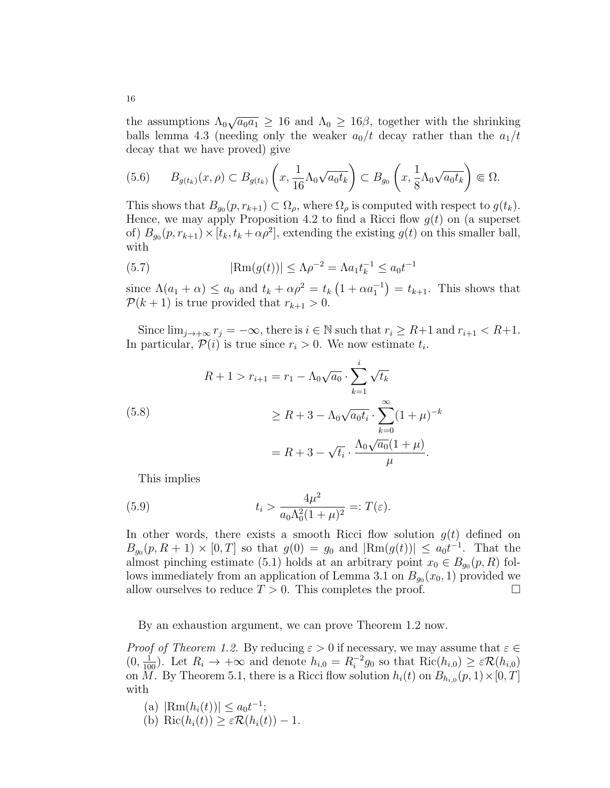the assumptions  $\Lambda_0 \sqrt{a_0 a_1} \geq 16$  and  $\Lambda_0 \geq 16\beta$ , together with the shrinking balls lemma 4.3 (needing only the weaker  $a_0/t$  decay rather than the  $a_1/t$ decay that we have proved) give

$$
(5.6) \qquad B_{g(t_k)}(x,\rho) \subset B_{g(t_k)}\left(x,\frac{1}{16}\Lambda_0\sqrt{a_0t_k}\right) \subset B_{g_0}\left(x,\frac{1}{8}\Lambda_0\sqrt{a_0t_k}\right) \Subset \Omega.
$$

This shows that  $B_{g_0}(p, r_{k+1}) \subset \Omega_\rho$ , where  $\Omega_\rho$  is computed with respect to  $g(t_k)$ . Hence, we may apply Proposition 4.2 to find a Ricci flow  $g(t)$  on (a superset of)  $B_{g_0}(p, r_{k+1}) \times [t_k, t_k + \alpha \rho^2]$ , extending the existing  $g(t)$  on this smaller ball, with

(5.7) 
$$
|\text{Rm}(g(t))| \leq \Lambda \rho^{-2} = \Lambda a_1 t_k^{-1} \leq a_0 t^{-1}
$$

since  $\Lambda(a_1 + \alpha) \le a_0$  and  $t_k + \alpha \rho^2 = t_k \left(1 + \alpha a_1^{-1}\right) = t_{k+1}$ . This shows that  $\mathcal{P}(k+1)$  is true provided that  $r_{k+1} > 0$ .

Since  $\lim_{j\to+\infty} r_j = -\infty$ , there is  $i \in \mathbb{N}$  such that  $r_i \geq R+1$  and  $r_{i+1} < R+1$ . In particular,  $\mathcal{P}(i)$  is true since  $r_i > 0$ . We now estimate  $t_i$ .

(5.8)  
\n
$$
R + 1 > r_{i+1} = r_1 - \Lambda_0 \sqrt{a_0} \cdot \sum_{k=1}^{i} \sqrt{t_k}
$$
\n
$$
\geq R + 3 - \Lambda_0 \sqrt{a_0 t_i} \cdot \sum_{k=0}^{\infty} (1 + \mu)^{-k}
$$
\n
$$
= R + 3 - \sqrt{t_i} \cdot \frac{\Lambda_0 \sqrt{a_0} (1 + \mu)}{\mu}.
$$

This implies

(5.9) 
$$
t_i > \frac{4\mu^2}{a_0 \Lambda_0^2 (1+\mu)^2} =: T(\varepsilon).
$$

In other words, there exists a smooth Ricci flow solution  $g(t)$  defined on  $B_{g_0}(p, R+1) \times [0, T]$  so that  $g(0) = g_0$  and  $|\text{Rm}(g(t))| \le a_0 t^{-1}$ . That the almost pinching estimate (5.1) holds at an arbitrary point  $x_0 \in B_{g_0}(p, R)$  follows immediately from an application of Lemma 3.1 on  $B_{g_0}(x_0, 1)$  provided we allow ourselves to reduce  $T > 0$ . This completes the proof.

By an exhaustion argument, we can prove Theorem 1.2 now.

*Proof of Theorem 1.2.* By reducing  $\varepsilon > 0$  if necessary, we may assume that  $\varepsilon \in \mathbb{C}$  $(0, \frac{1}{100})$ . Let  $R_i \rightarrow +\infty$  and denote  $h_{i,0} = R_i^{-2}$  $i^{-2}g_0$  so that  $\text{Ric}(h_{i,0}) \geq \varepsilon \mathcal{R}(h_{i,0})$ on M. By Theorem 5.1, there is a Ricci flow solution  $h_i(t)$  on  $B_{h_{i,0}}(p,1) \times [0,T]$ with

- (a)  $|\text{Rm}(h_i(t))| \le a_0 t^{-1};$
- (b) Ric $(h_i(t)) \geq \varepsilon \mathcal{R}(h_i(t)) 1$ .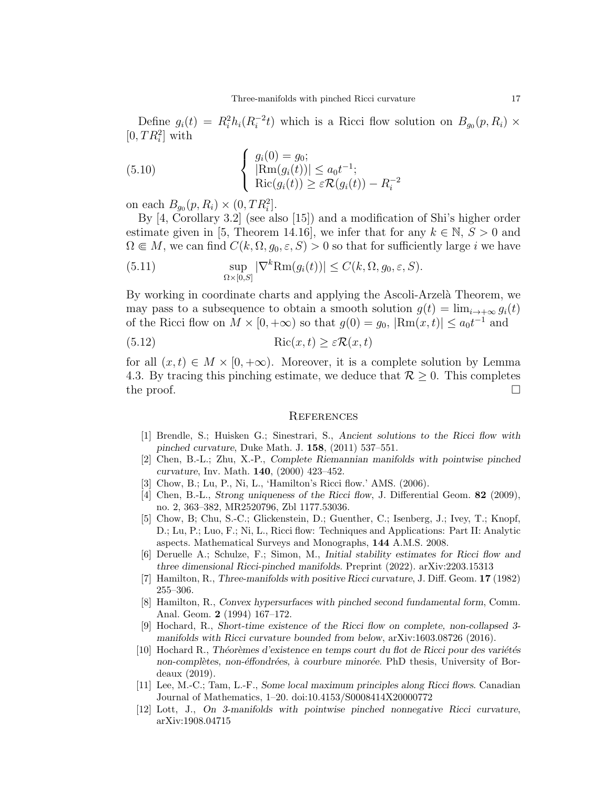Define  $g_i(t) = R_i^2 h_i (R_i^{-2})$  $\int_{i}^{-2}t$ ) which is a Ricci flow solution on  $B_{g_0}(p, R_i) \times$  $[0, TR_i^2]$  with

(5.10) 
$$
\begin{cases} g_i(0) = g_0; \\ |\text{Rm}(g_i(t))| \le a_0 t^{-1}; \\ \text{Ric}(g_i(t)) \ge \varepsilon \mathcal{R}(g_i(t)) - R_i^{-2} \end{cases}
$$

on each  $B_{g_0}(p, R_i) \times (0, TR_i^2]$ .

By [4, Corollary 3.2] (see also [15]) and a modification of Shi's higher order estimate given in [5, Theorem 14.16], we infer that for any  $k \in \mathbb{N}$ ,  $S > 0$  and  $\Omega \in M$ , we can find  $C(k, \Omega, g_0, \varepsilon, S) > 0$  so that for sufficiently large i we have

(5.11) 
$$
\sup_{\Omega \times [0,S]} |\nabla^k \text{Rm}(g_i(t))| \le C(k, \Omega, g_0, \varepsilon, S).
$$

By working in coordinate charts and applying the Ascoli-Arzelà Theorem, we may pass to a subsequence to obtain a smooth solution  $g(t) = \lim_{i \to +\infty} g_i(t)$ of the Ricci flow on  $M \times [0, +\infty)$  so that  $g(0) = g_0$ ,  $|\text{Rm}(x, t)| \le a_0 t^{-1}$  and

$$
(5.12)\qquad \qquad \text{Ric}(x,t) \ge \varepsilon \mathcal{R}(x,t)
$$

for all  $(x, t) \in M \times [0, +\infty)$ . Moreover, it is a complete solution by Lemma 4.3. By tracing this pinching estimate, we deduce that  $\mathcal{R} \geq 0$ . This completes the proof.  $\Box$ 

### **REFERENCES**

- [1] Brendle, S.; Huisken G.; Sinestrari, S., Ancient solutions to the Ricci flow with pinched curvature, Duke Math. J. 158, (2011) 537–551.
- [2] Chen, B.-L.; Zhu, X.-P., Complete Riemannian manifolds with pointwise pinched curvature, Inv. Math. 140, (2000) 423–452.
- [3] Chow, B.; Lu, P., Ni, L., 'Hamilton's Ricci flow.' AMS. (2006).
- [4] Chen, B.-L., Strong uniqueness of the Ricci flow, J. Differential Geom. 82 (2009), no. 2, 363–382, MR2520796, Zbl 1177.53036.
- [5] Chow, B; Chu, S.-C.; Glickenstein, D.; Guenther, C.; Isenberg, J.; Ivey, T.; Knopf, D.; Lu, P.; Luo, F.; Ni, L., Ricci flow: Techniques and Applications: Part II: Analytic aspects. Mathematical Surveys and Monographs, 144 A.M.S. 2008.
- [6] Deruelle A.; Schulze, F.; Simon, M., Initial stability estimates for Ricci flow and three dimensional Ricci-pinched manifolds. Preprint (2022). arXiv:2203.15313
- [7] Hamilton, R., Three-manifolds with positive Ricci curvature, J. Diff. Geom. 17 (1982) 255–306.
- [8] Hamilton, R., Convex hypersurfaces with pinched second fundamental form, Comm. Anal. Geom. 2 (1994) 167–172.
- [9] Hochard, R., Short-time existence of the Ricci flow on complete, non-collapsed 3 manifolds with Ricci curvature bounded from below, arXiv:1603.08726 (2016).
- $[10]$  Hochard R., Théorèmes d'existence en temps court du flot de Ricci pour des variétés non-complètes, non-éffondrées, à courbure minorée. PhD thesis, University of Bordeaux (2019).
- [11] Lee, M.-C.; Tam, L.-F., Some local maximum principles along Ricci flows. Canadian Journal of Mathematics, 1–20. doi:10.4153/S0008414X20000772
- [12] Lott, J., On 3-manifolds with pointwise pinched nonnegative Ricci curvature, arXiv:1908.04715